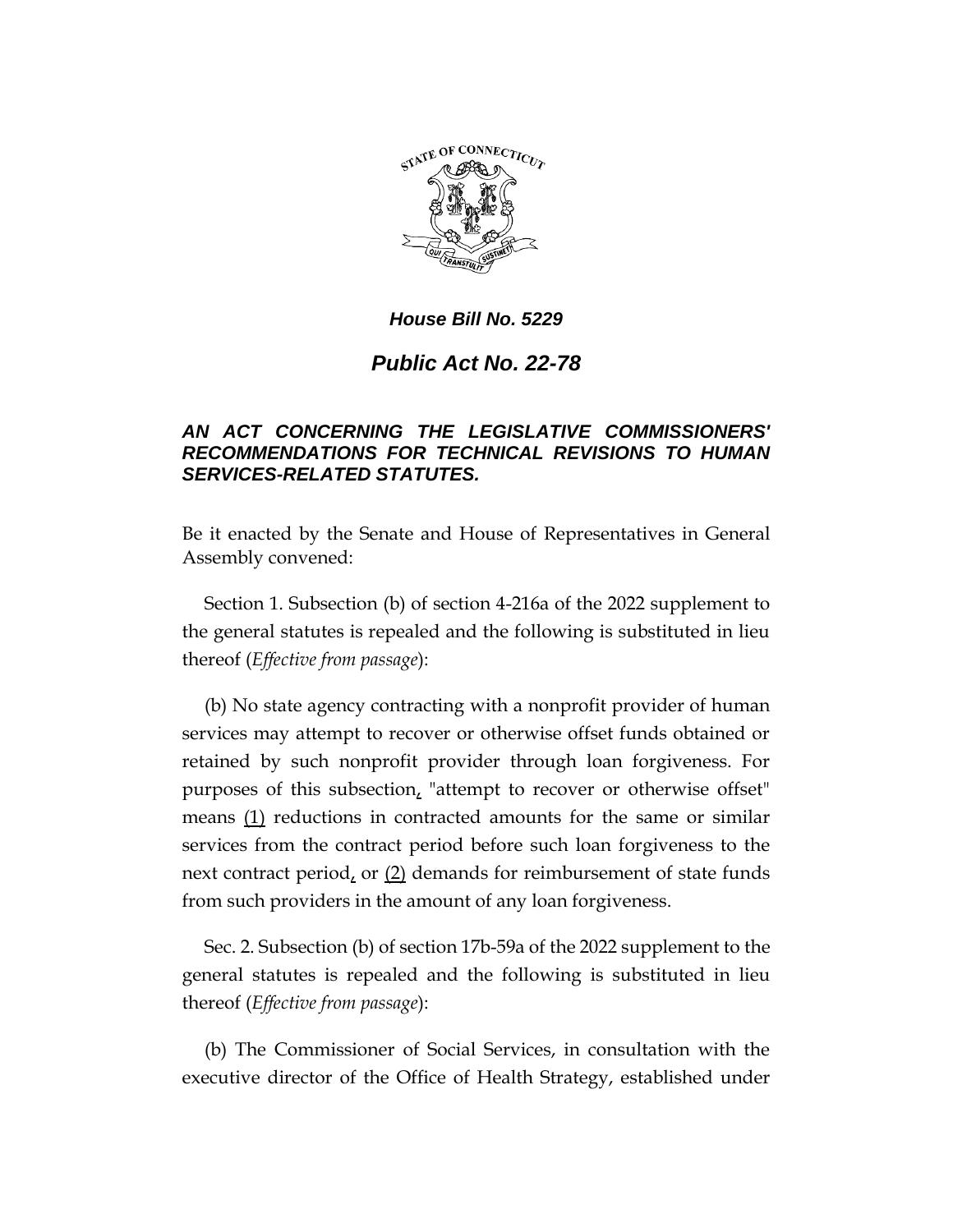

# *Public Act No. 22-78*

# *AN ACT CONCERNING THE LEGISLATIVE COMMISSIONERS' RECOMMENDATIONS FOR TECHNICAL REVISIONS TO HUMAN SERVICES-RELATED STATUTES.*

Be it enacted by the Senate and House of Representatives in General Assembly convened:

Section 1. Subsection (b) of section 4-216a of the 2022 supplement to the general statutes is repealed and the following is substituted in lieu thereof (*Effective from passage*):

(b) No state agency contracting with a nonprofit provider of human services may attempt to recover or otherwise offset funds obtained or retained by such nonprofit provider through loan forgiveness. For purposes of this subsection, "attempt to recover or otherwise offset" means (1) reductions in contracted amounts for the same or similar services from the contract period before such loan forgiveness to the next contract period, or  $(2)$  demands for reimbursement of state funds from such providers in the amount of any loan forgiveness.

Sec. 2. Subsection (b) of section 17b-59a of the 2022 supplement to the general statutes is repealed and the following is substituted in lieu thereof (*Effective from passage*):

(b) The Commissioner of Social Services, in consultation with the executive director of the Office of Health Strategy, established under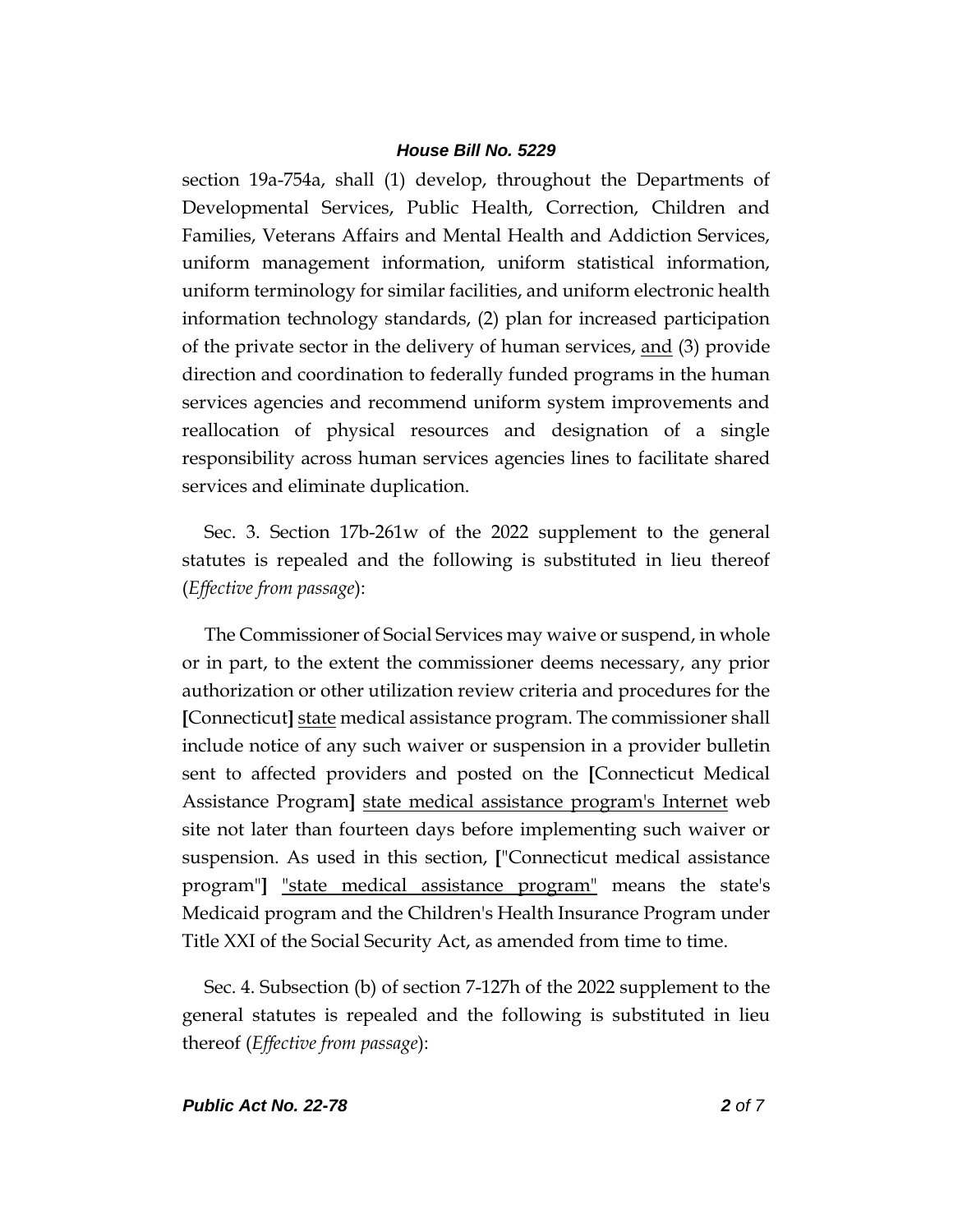section 19a-754a, shall (1) develop, throughout the Departments of Developmental Services, Public Health, Correction, Children and Families, Veterans Affairs and Mental Health and Addiction Services, uniform management information, uniform statistical information, uniform terminology for similar facilities, and uniform electronic health information technology standards, (2) plan for increased participation of the private sector in the delivery of human services, and (3) provide direction and coordination to federally funded programs in the human services agencies and recommend uniform system improvements and reallocation of physical resources and designation of a single responsibility across human services agencies lines to facilitate shared services and eliminate duplication.

Sec. 3. Section 17b-261w of the 2022 supplement to the general statutes is repealed and the following is substituted in lieu thereof (*Effective from passage*):

The Commissioner of Social Services may waive or suspend, in whole or in part, to the extent the commissioner deems necessary, any prior authorization or other utilization review criteria and procedures for the **[**Connecticut**]** state medical assistance program. The commissioner shall include notice of any such waiver or suspension in a provider bulletin sent to affected providers and posted on the **[**Connecticut Medical Assistance Program**]** state medical assistance program's Internet web site not later than fourteen days before implementing such waiver or suspension. As used in this section, **[**"Connecticut medical assistance program"**]** "state medical assistance program" means the state's Medicaid program and the Children's Health Insurance Program under Title XXI of the Social Security Act, as amended from time to time.

Sec. 4. Subsection (b) of section 7-127h of the 2022 supplement to the general statutes is repealed and the following is substituted in lieu thereof (*Effective from passage*):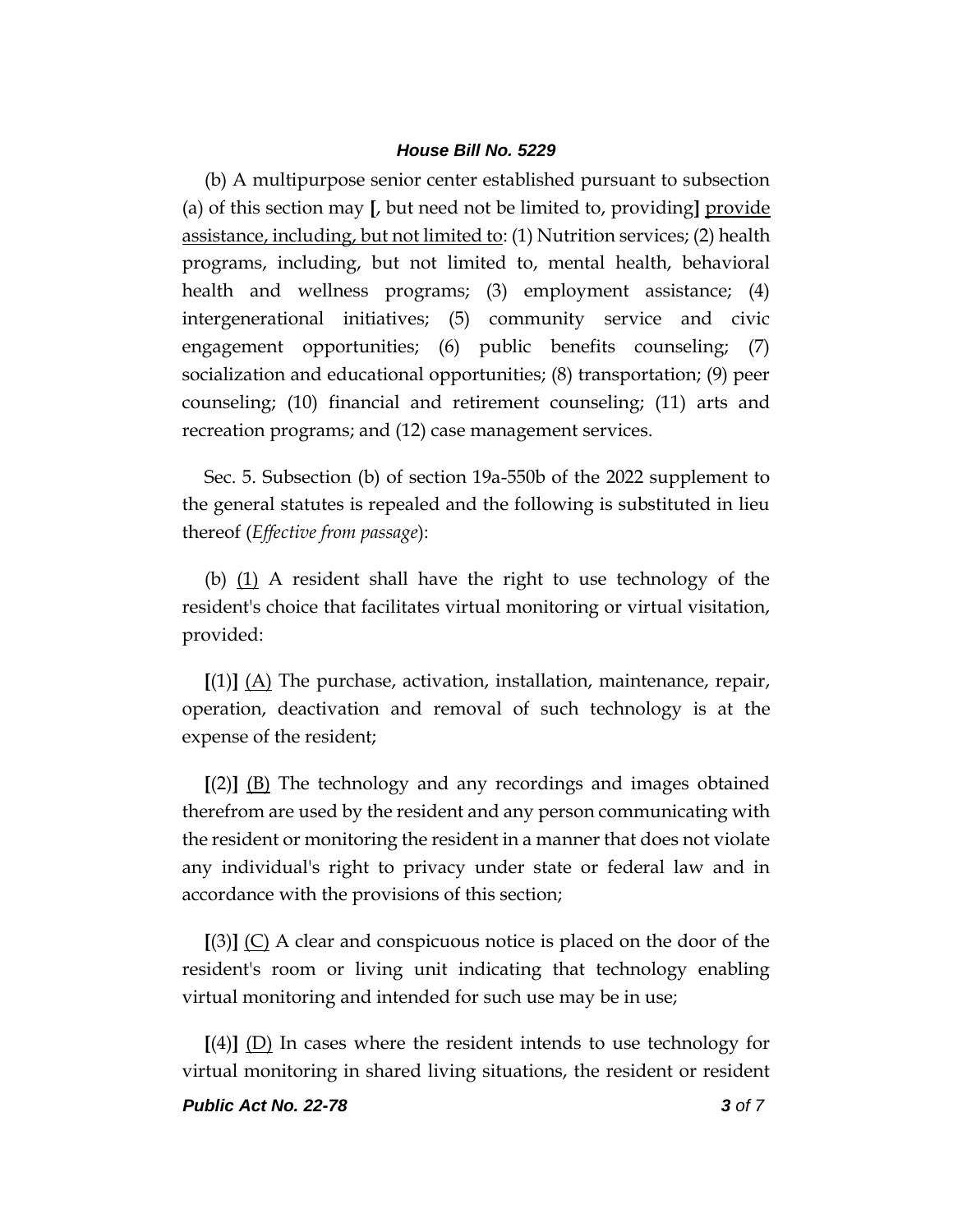(b) A multipurpose senior center established pursuant to subsection (a) of this section may **[**, but need not be limited to, providing**]** provide assistance, including, but not limited to: (1) Nutrition services; (2) health programs, including, but not limited to, mental health, behavioral health and wellness programs; (3) employment assistance; (4) intergenerational initiatives; (5) community service and civic engagement opportunities; (6) public benefits counseling; (7) socialization and educational opportunities; (8) transportation; (9) peer counseling; (10) financial and retirement counseling; (11) arts and recreation programs; and (12) case management services.

Sec. 5. Subsection (b) of section 19a-550b of the 2022 supplement to the general statutes is repealed and the following is substituted in lieu thereof (*Effective from passage*):

(b)  $(1)$  A resident shall have the right to use technology of the resident's choice that facilitates virtual monitoring or virtual visitation, provided:

**[**(1)**]** (A) The purchase, activation, installation, maintenance, repair, operation, deactivation and removal of such technology is at the expense of the resident;

**[**(2)**]** (B) The technology and any recordings and images obtained therefrom are used by the resident and any person communicating with the resident or monitoring the resident in a manner that does not violate any individual's right to privacy under state or federal law and in accordance with the provisions of this section;

**[**(3)**]** (C) A clear and conspicuous notice is placed on the door of the resident's room or living unit indicating that technology enabling virtual monitoring and intended for such use may be in use;

**[**(4)**]** (D) In cases where the resident intends to use technology for virtual monitoring in shared living situations, the resident or resident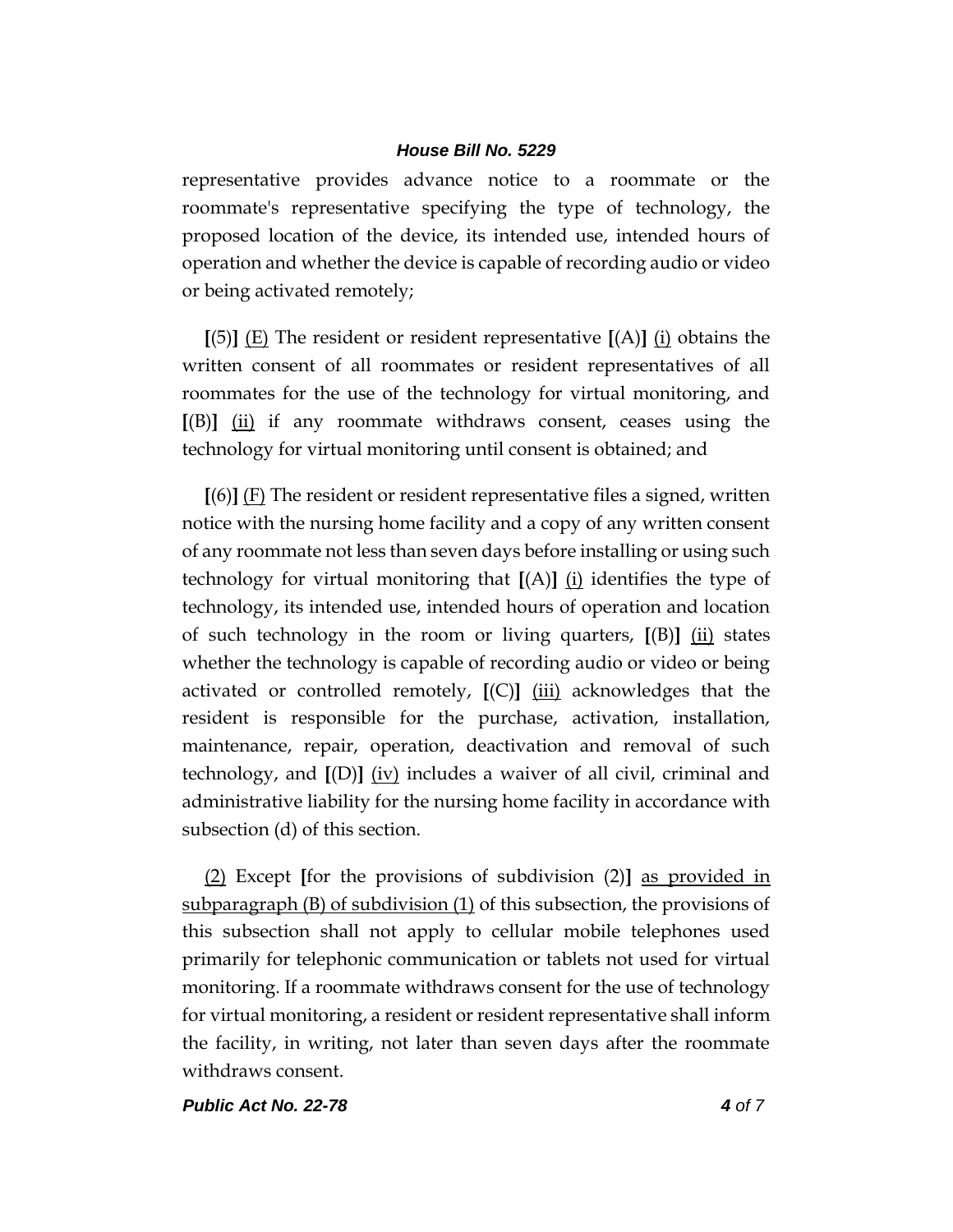representative provides advance notice to a roommate or the roommate's representative specifying the type of technology, the proposed location of the device, its intended use, intended hours of operation and whether the device is capable of recording audio or video or being activated remotely;

**[**(5)**]** (E) The resident or resident representative **[**(A)**]** (i) obtains the written consent of all roommates or resident representatives of all roommates for the use of the technology for virtual monitoring, and **[**(B)**]** (ii) if any roommate withdraws consent, ceases using the technology for virtual monitoring until consent is obtained; and

**[**(6)**]** (F) The resident or resident representative files a signed, written notice with the nursing home facility and a copy of any written consent of any roommate not less than seven days before installing or using such technology for virtual monitoring that  $[(A)]$   $(i)$  identifies the type of technology, its intended use, intended hours of operation and location of such technology in the room or living quarters,  $[(B)]$   $(i)$  states whether the technology is capable of recording audio or video or being activated or controlled remotely, **[**(C)**]** (iii) acknowledges that the resident is responsible for the purchase, activation, installation, maintenance, repair, operation, deactivation and removal of such technology, and  $[(D)]$  (iv) includes a waiver of all civil, criminal and administrative liability for the nursing home facility in accordance with subsection (d) of this section.

(2) Except **[**for the provisions of subdivision (2)**]** as provided in subparagraph (B) of subdivision (1) of this subsection, the provisions of this subsection shall not apply to cellular mobile telephones used primarily for telephonic communication or tablets not used for virtual monitoring. If a roommate withdraws consent for the use of technology for virtual monitoring, a resident or resident representative shall inform the facility, in writing, not later than seven days after the roommate withdraws consent.

*Public Act No. 22-78 4 of 7*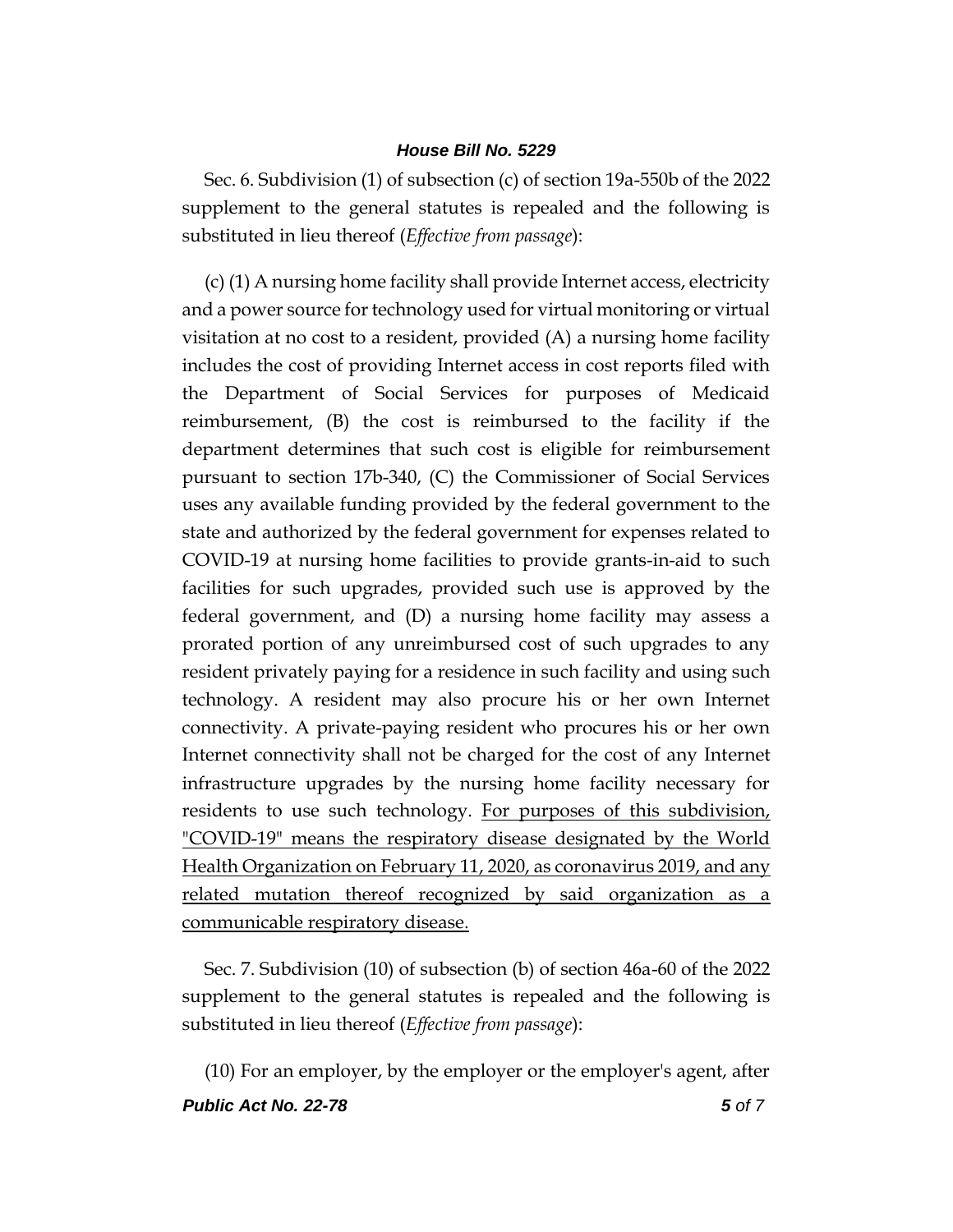Sec. 6. Subdivision (1) of subsection (c) of section 19a-550b of the 2022 supplement to the general statutes is repealed and the following is substituted in lieu thereof (*Effective from passage*):

(c) (1) A nursing home facility shall provide Internet access, electricity and a power source for technology used for virtual monitoring or virtual visitation at no cost to a resident, provided (A) a nursing home facility includes the cost of providing Internet access in cost reports filed with the Department of Social Services for purposes of Medicaid reimbursement, (B) the cost is reimbursed to the facility if the department determines that such cost is eligible for reimbursement pursuant to section 17b-340, (C) the Commissioner of Social Services uses any available funding provided by the federal government to the state and authorized by the federal government for expenses related to COVID-19 at nursing home facilities to provide grants-in-aid to such facilities for such upgrades, provided such use is approved by the federal government, and (D) a nursing home facility may assess a prorated portion of any unreimbursed cost of such upgrades to any resident privately paying for a residence in such facility and using such technology. A resident may also procure his or her own Internet connectivity. A private-paying resident who procures his or her own Internet connectivity shall not be charged for the cost of any Internet infrastructure upgrades by the nursing home facility necessary for residents to use such technology. For purposes of this subdivision, "COVID-19" means the respiratory disease designated by the World Health Organization on February 11, 2020, as coronavirus 2019, and any related mutation thereof recognized by said organization as a communicable respiratory disease.

Sec. 7. Subdivision (10) of subsection (b) of section 46a-60 of the 2022 supplement to the general statutes is repealed and the following is substituted in lieu thereof (*Effective from passage*):

*Public Act No. 22-78 5 of 7* (10) For an employer, by the employer or the employer's agent, after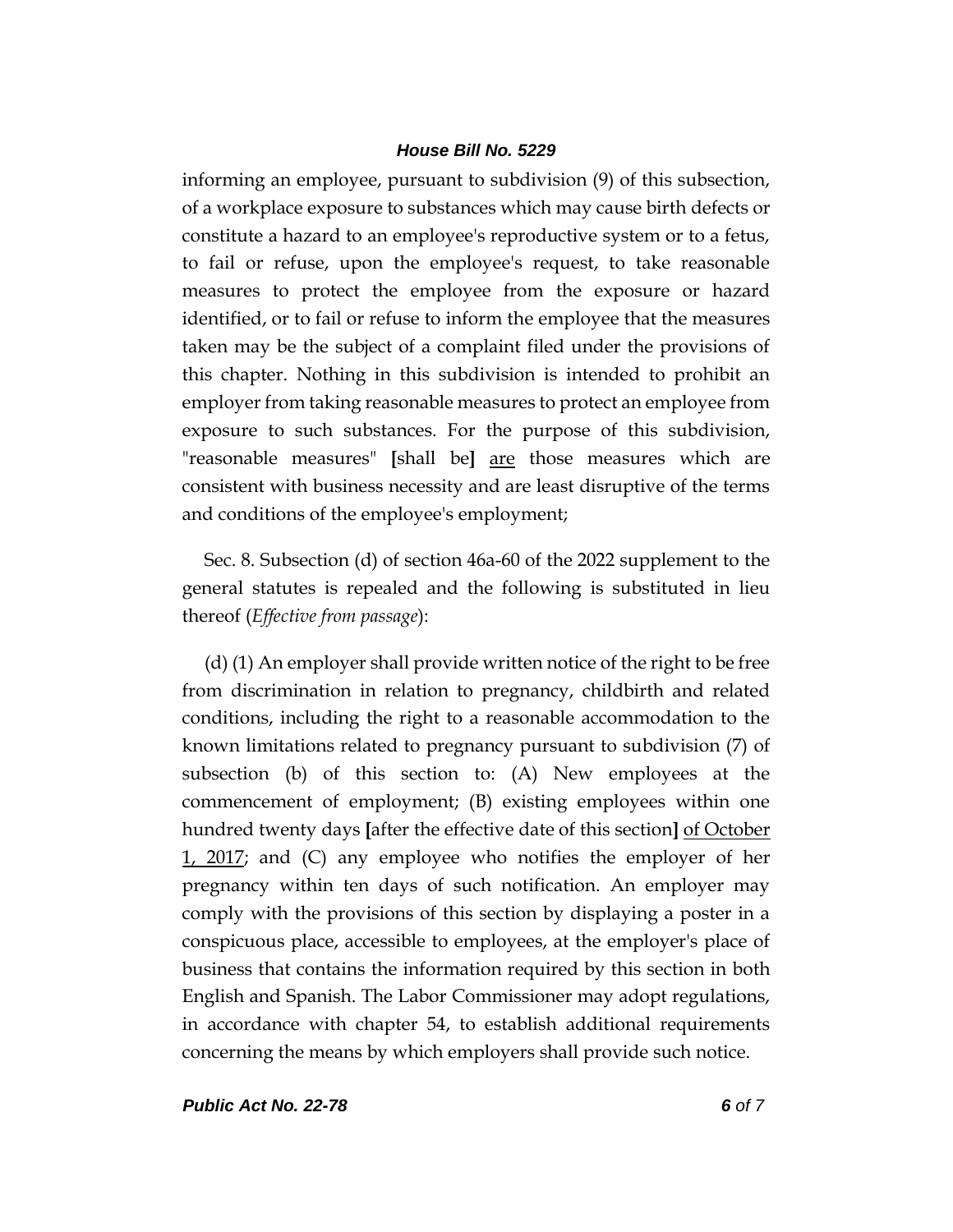informing an employee, pursuant to subdivision (9) of this subsection, of a workplace exposure to substances which may cause birth defects or constitute a hazard to an employee's reproductive system or to a fetus, to fail or refuse, upon the employee's request, to take reasonable measures to protect the employee from the exposure or hazard identified, or to fail or refuse to inform the employee that the measures taken may be the subject of a complaint filed under the provisions of this chapter. Nothing in this subdivision is intended to prohibit an employer from taking reasonable measures to protect an employee from exposure to such substances. For the purpose of this subdivision, "reasonable measures" **[**shall be**]** are those measures which are consistent with business necessity and are least disruptive of the terms and conditions of the employee's employment;

Sec. 8. Subsection (d) of section 46a-60 of the 2022 supplement to the general statutes is repealed and the following is substituted in lieu thereof (*Effective from passage*):

(d) (1) An employer shall provide written notice of the right to be free from discrimination in relation to pregnancy, childbirth and related conditions, including the right to a reasonable accommodation to the known limitations related to pregnancy pursuant to subdivision (7) of subsection (b) of this section to: (A) New employees at the commencement of employment; (B) existing employees within one hundred twenty days **[**after the effective date of this section**]** of October 1, 2017; and (C) any employee who notifies the employer of her pregnancy within ten days of such notification. An employer may comply with the provisions of this section by displaying a poster in a conspicuous place, accessible to employees, at the employer's place of business that contains the information required by this section in both English and Spanish. The Labor Commissioner may adopt regulations, in accordance with chapter 54, to establish additional requirements concerning the means by which employers shall provide such notice.